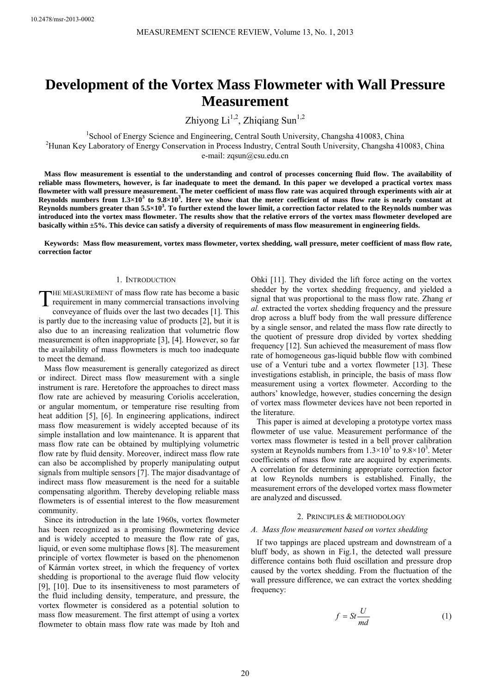# **Development of the Vortex Mass Flowmeter with Wall Pressure Measurement**

Zhiyong  $Li^{1,2}$ , Zhiqiang Sun<sup>1,2</sup>

<sup>1</sup>School of Energy Science and Engineering, Central South University, Changsha 410083, China<br><sup>2</sup>Hunan Kay Labaratory of Energy Conservation in Process Industry, Central South University, Changsha 410 <sup>2</sup>Hunan Key Laboratory of Energy Conservation in Process Industry, Central South University, Changsha 410083, China

e-mail: zqsun@csu.edu.cn

**Mass flow measurement is essential to the understanding and control of processes concerning fluid flow. The availability of reliable mass flowmeters, however, is far inadequate to meet the demand. In this paper we developed a practical vortex mass flowmeter with wall pressure measurement. The meter coefficient of mass flow rate was acquired through experiments with air at Reynolds numbers from 1.3×10<sup>3</sup> to 9.8×103 . Here we show that the meter coefficient of mass flow rate is nearly constant at Reynolds numbers greater than 5.5×103 . To further extend the lower limit, a correction factor related to the Reynolds number was introduced into the vortex mass flowmeter. The results show that the relative errors of the vortex mass flowmeter developed are basically within ±5%. This device can satisfy a diversity of requirements of mass flow measurement in engineering fields.** 

**Keywords: Mass flow measurement, vortex mass flowmeter, vortex shedding, wall pressure, meter coefficient of mass flow rate, correction factor** 

## 1. INTRODUCTION

THE MEASUREMENT of mass flow rate has become a basic<br>requirement in many commercial transactions involving<br>commence of fluids such the lost two decedes [1]. This requirement in many commercial transactions involving conveyance of fluids over the last two decades [1]. This is partly due to the increasing value of products [2], but it is also due to an increasing realization that volumetric flow measurement is often inappropriate [3], [4]. However, so far the availability of mass flowmeters is much too inadequate to meet the demand.

Mass flow measurement is generally categorized as direct or indirect. Direct mass flow measurement with a single instrument is rare. Heretofore the approaches to direct mass flow rate are achieved by measuring Coriolis acceleration, or angular momentum, or temperature rise resulting from heat addition [5], [6]. In engineering applications, indirect mass flow measurement is widely accepted because of its simple installation and low maintenance. It is apparent that mass flow rate can be obtained by multiplying volumetric flow rate by fluid density. Moreover, indirect mass flow rate can also be accomplished by properly manipulating output signals from multiple sensors [7]. The major disadvantage of indirect mass flow measurement is the need for a suitable compensating algorithm. Thereby developing reliable mass flowmeters is of essential interest to the flow measurement community.

Since its introduction in the late 1960s, vortex flowmeter has been recognized as a promising flowmetering device and is widely accepted to measure the flow rate of gas, liquid, or even some multiphase flows [8]. The measurement principle of vortex flowmeter is based on the phenomenon of Kármán vortex street, in which the frequency of vortex shedding is proportional to the average fluid flow velocity [9], [10]. Due to its insensitiveness to most parameters of the fluid including density, temperature, and pressure, the vortex flowmeter is considered as a potential solution to mass flow measurement. The first attempt of using a vortex flowmeter to obtain mass flow rate was made by Itoh and

Ohki [11]. They divided the lift force acting on the vortex shedder by the vortex shedding frequency, and yielded a signal that was proportional to the mass flow rate. Zhang *et al.* extracted the vortex shedding frequency and the pressure drop across a bluff body from the wall pressure difference by a single sensor, and related the mass flow rate directly to the quotient of pressure drop divided by vortex shedding frequency [12]. Sun achieved the measurement of mass flow rate of homogeneous gas-liquid bubble flow with combined use of a Venturi tube and a vortex flowmeter [13]. These investigations establish, in principle, the basis of mass flow measurement using a vortex flowmeter. According to the authors' knowledge, however, studies concerning the design of vortex mass flowmeter devices have not been reported in the literature.

This paper is aimed at developing a prototype vortex mass flowmeter of use value. Measurement performance of the vortex mass flowmeter is tested in a bell prover calibration system at Reynolds numbers from  $1.3 \times 10^3$  to  $9.8 \times 10^3$ . Meter coefficients of mass flow rate are acquired by experiments. A correlation for determining appropriate correction factor at low Reynolds numbers is established. Finally, the measurement errors of the developed vortex mass flowmeter are analyzed and discussed.

#### 2. PRINCIPLES & METHODOLOGY

### *A. Mass flow measurement based on vortex shedding*

If two tappings are placed upstream and downstream of a bluff body, as shown in Fig.1, the detected wall pressure difference contains both fluid oscillation and pressure drop caused by the vortex shedding. From the fluctuation of the wall pressure difference, we can extract the vortex shedding frequency:

$$
f = St \frac{U}{md}
$$
 (1)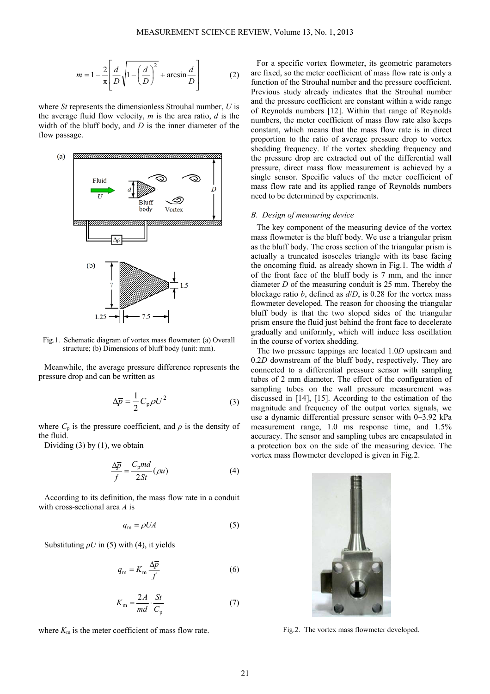$$
m = 1 - \frac{2}{\pi} \left[ \frac{d}{D} \sqrt{1 - \left( \frac{d}{D} \right)^2} + \arcsin \frac{d}{D} \right]
$$
 (2)

where *St* represents the dimensionless Strouhal number, *U* is the average fluid flow velocity, *m* is the area ratio, *d* is the width of the bluff body, and *D* is the inner diameter of the flow passage.



Fig.1. Schematic diagram of vortex mass flowmeter: (a) Overall structure; (b) Dimensions of bluff body (unit: mm).

Meanwhile, the average pressure difference represents the pressure drop and can be written as

$$
\Delta \overline{p} = \frac{1}{2} C_p \rho U^2 \tag{3}
$$

where  $C_p$  is the pressure coefficient, and  $\rho$  is the density of the fluid.

Dividing  $(3)$  by  $(1)$ , we obtain

$$
\frac{\Delta \overline{p}}{f} = \frac{C_p m d}{2St} (\rho u) \tag{4}
$$

According to its definition, the mass flow rate in a conduit with cross-sectional area *A* is

$$
q_{\rm m} = \rho U A \tag{5}
$$

Substituting  $\rho U$  in (5) with (4), it yields

$$
q_{\rm m} = K_{\rm m} \frac{\Delta \overline{p}}{f} \tag{6}
$$

$$
K_{\rm m} = \frac{2A}{md} \cdot \frac{St}{C_{\rm p}}\tag{7}
$$

where  $K<sub>m</sub>$  is the meter coefficient of mass flow rate.

For a specific vortex flowmeter, its geometric parameters are fixed, so the meter coefficient of mass flow rate is only a function of the Strouhal number and the pressure coefficient. Previous study already indicates that the Strouhal number and the pressure coefficient are constant within a wide range of Reynolds numbers [12]. Within that range of Reynolds numbers, the meter coefficient of mass flow rate also keeps constant, which means that the mass flow rate is in direct proportion to the ratio of average pressure drop to vortex shedding frequency. If the vortex shedding frequency and the pressure drop are extracted out of the differential wall pressure, direct mass flow measurement is achieved by a single sensor. Specific values of the meter coefficient of mass flow rate and its applied range of Reynolds numbers need to be determined by experiments.

## *B. Design of measuring device*

The key component of the measuring device of the vortex mass flowmeter is the bluff body. We use a triangular prism as the bluff body. The cross section of the triangular prism is actually a truncated isosceles triangle with its base facing the oncoming fluid, as already shown in Fig.1. The width *d* of the front face of the bluff body is 7 mm, and the inner diameter *D* of the measuring conduit is 25 mm. Thereby the blockage ratio *b*, defined as *d*/*D*, is 0.28 for the vortex mass flowmeter developed. The reason for choosing the triangular bluff body is that the two sloped sides of the triangular prism ensure the fluid just behind the front face to decelerate gradually and uniformly, which will induce less oscillation in the course of vortex shedding.

The two pressure tappings are located 1.0*D* upstream and 0.2*D* downstream of the bluff body, respectively. They are connected to a differential pressure sensor with sampling tubes of 2 mm diameter. The effect of the configuration of sampling tubes on the wall pressure measurement was discussed in [14], [15]. According to the estimation of the magnitude and frequency of the output vortex signals, we use a dynamic differential pressure sensor with 0–3.92 kPa measurement range, 1.0 ms response time, and 1.5% accuracy. The sensor and sampling tubes are encapsulated in a protection box on the side of the measuring device. The vortex mass flowmeter developed is given in Fig.2.



Fig.2. The vortex mass flowmeter developed.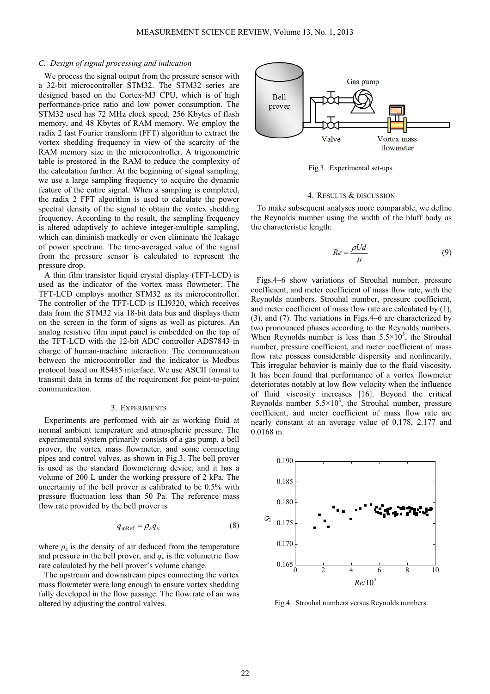## *C. Design of signal processing and indication*

We process the signal output from the pressure sensor with a 32-bit microcontroller STM32. The STM32 series are designed based on the Cortex-M3 CPU, which is of high performance-price ratio and low power consumption. The STM32 used has 72 MHz clock speed, 256 Kbytes of flash memory, and 48 Kbytes of RAM memory. We employ the radix 2 fast Fourier transform (FFT) algorithm to extract the vortex shedding frequency in view of the scarcity of the RAM memory size in the microcontroller. A trigonometric table is prestored in the RAM to reduce the complexity of the calculation further. At the beginning of signal sampling, we use a large sampling frequency to acquire the dynamic feature of the entire signal. When a sampling is completed, the radix 2 FFT algorithm is used to calculate the power spectral density of the signal to obtain the vortex shedding frequency. According to the result, the sampling frequency is altered adaptively to achieve integer-multiple sampling, which can diminish markedly or even eliminate the leakage of power spectrum. The time-averaged value of the signal from the pressure sensor is calculated to represent the pressure drop.

A thin film transistor liquid crystal display (TFT-LCD) is used as the indicator of the vortex mass flowmeter. The TFT-LCD employs another STM32 as its microcontroller. The controller of the TFT-LCD is ILI9320, which receives data from the STM32 via 18-bit data bus and displays them on the screen in the form of signs as well as pictures. An analog resistive film input panel is embedded on the top of the TFT-LCD with the 12-bit ADC controller ADS7843 in charge of human-machine interaction. The communication between the microcontroller and the indicator is Modbus protocol based on RS485 interface. We use ASCII format to transmit data in terms of the requirement for point-to-point communication.

#### 3. EXPERIMENTS

Experiments are performed with air as working fluid at normal ambient temperature and atmospheric pressure. The experimental system primarily consists of a gas pump, a bell prover, the vortex mass flowmeter, and some connecting pipes and control valves, as shown in Fig.3. The bell prover is used as the standard flowmetering device, and it has a volume of 200 L under the working pressure of 2 kPa. The uncertainty of the bell prover is calibrated to be 0.5% with pressure fluctuation less than 50 Pa. The reference mass flow rate provided by the bell prover is

$$
q_{\rm mRef} = \rho_{\rm a} q_{\rm v} \tag{8}
$$

where  $\rho_a$  is the density of air deduced from the temperature and pressure in the bell prover, and  $q_v$  is the volumetric flow rate calculated by the bell prover's volume change.

The upstream and downstream pipes connecting the vortex mass flowmeter were long enough to ensure vortex shedding fully developed in the flow passage. The flow rate of air was altered by adjusting the control valves.



Fig.3. Experimental set-ups.

## 4. RESULTS & DISCUSSION

To make subsequent analyses more comparable, we define the Reynolds number using the width of the bluff body as the characteristic length:

$$
Re = \frac{\rho U d}{\mu} \tag{9}
$$

Figs.4–6 show variations of Strouhal number, pressure coefficient, and meter coefficient of mass flow rate, with the Reynolds numbers. Strouhal number, pressure coefficient, and meter coefficient of mass flow rate are calculated by (1), (3), and (7). The variations in Figs.4–6 are characterized by two pronounced phases according to the Reynolds numbers. When Reynolds number is less than  $5.5 \times 10^3$ , the Strouhal number, pressure coefficient, and meter coefficient of mass flow rate possess considerable dispersity and nonlinearity. This irregular behavior is mainly due to the fluid viscosity. It has been found that performance of a vortex flowmeter deteriorates notably at low flow velocity when the influence of fluid viscosity increases [16]. Beyond the critical Reynolds number  $5.5 \times 10^3$ , the Strouhal number, pressure coefficient, and meter coefficient of mass flow rate are nearly constant at an average value of 0.178, 2.177 and 0.0168 m.



Fig.4. Strouhal numbers versus Reynolds numbers.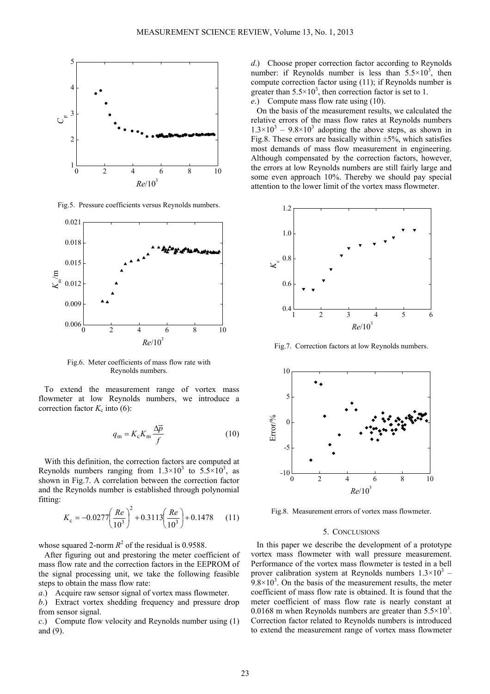

Fig.5. Pressure coefficients versus Reynolds numbers.



Fig.6. Meter coefficients of mass flow rate with Reynolds numbers.

To extend the measurement range of vortex mass flowmeter at low Reynolds numbers, we introduce a correction factor  $K_c$  into (6):

$$
q_{\rm m} = K_{\rm c} K_{\rm m} \frac{\Delta \overline{p}}{f} \tag{10}
$$

With this definition, the correction factors are computed at Reynolds numbers ranging from  $1.3 \times 10^3$  to  $5.5 \times 10^3$ , as shown in Fig.7. A correlation between the correction factor and the Reynolds number is established through polynomial fitting:

$$
K_{\rm c} = -0.0277 \left(\frac{Re}{10^3}\right)^2 + 0.3113 \left(\frac{Re}{10^3}\right) + 0.1478 \tag{11}
$$

whose squared 2-norm  $R^2$  of the residual is 0.9588.

After figuring out and prestoring the meter coefficient of mass flow rate and the correction factors in the EEPROM of the signal processing unit, we take the following feasible steps to obtain the mass flow rate:

*a*.) Acquire raw sensor signal of vortex mass flowmeter.

*b*.) Extract vortex shedding frequency and pressure drop from sensor signal.

*c*.) Compute flow velocity and Reynolds number using (1) and (9).

*d*.) Choose proper correction factor according to Reynolds number: if Reynolds number is less than  $5.5 \times 10^3$ , then compute correction factor using (11); if Reynolds number is greater than  $5.5 \times 10^3$ , then correction factor is set to 1. *e*.) Compute mass flow rate using (10).

On the basis of the measurement results, we calculated the relative errors of the mass flow rates at Reynolds numbers  $1.3 \times 10^3$  – 9.8×10<sup>3</sup> adopting the above steps, as shown in Fig.8. These errors are basically within  $\pm 5\%$ , which satisfies most demands of mass flow measurement in engineering. Although compensated by the correction factors, however, the errors at low Reynolds numbers are still fairly large and some even approach 10%. Thereby we should pay special attention to the lower limit of the vortex mass flowmeter.



Fig.7. Correction factors at low Reynolds numbers.



Fig.8. Measurement errors of vortex mass flowmeter.

#### 5. CONCLUSIONS

In this paper we describe the development of a prototype vortex mass flowmeter with wall pressure measurement. Performance of the vortex mass flowmeter is tested in a bell prover calibration system at Reynolds numbers  $1.3 \times 10^3$  –  $9.8 \times 10^3$ . On the basis of the measurement results, the meter coefficient of mass flow rate is obtained. It is found that the meter coefficient of mass flow rate is nearly constant at 0.0168 m when Reynolds numbers are greater than  $5.5 \times 10^3$ . Correction factor related to Reynolds numbers is introduced to extend the measurement range of vortex mass flowmeter